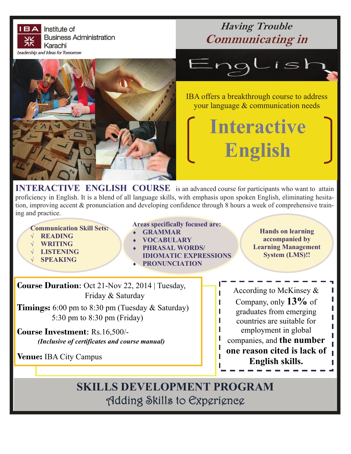

**IERACTIVE ENGLISH COURSE** is an advanced course for participants who want to attain proficiency in English. It is a blend of all language skills, with emphasis upon spoken English, eliminating hesitation, improving accent & pronunciation and developing confidence through 8 hours a week of comprehensive training and practice.

**Communication Skill Sets:** 

- **READING**
- **WRITING**
- **LISTENING**
- **SPEAKING**
- **Areas specifically focused are:** 
	- **GRAMMAR**
- **VOCABULARY**
- **PHRASAL WORDS/ IDIOMATIC EXPRESSIONS**

**PRONUNCIATION** 

**Hands on learning accompanied by Learning Management System (LMS)!!** 

> I I I

**Course Duration**: Oct 21-Nov 22, 2014 | Tuesday, Friday & Saturday

**Timings:** 6:00 pm to 8:30 pm (Tuesday & Saturday) 5:30 pm to 8:30 pm (Friday)

**Course Investment**: Rs.16,500/- *(Inclusive of certificates and course manual)* 

**Venue:** IBA City Campus

According to McKinsey  $\&$ Company, only **13%** of graduates from emerging countries are suitable for employment in global companies, and **the number one reason cited is lack of English skills.** 

**SKILLS DEVELOPMENT PROGRAM** Adding Skills to Experience